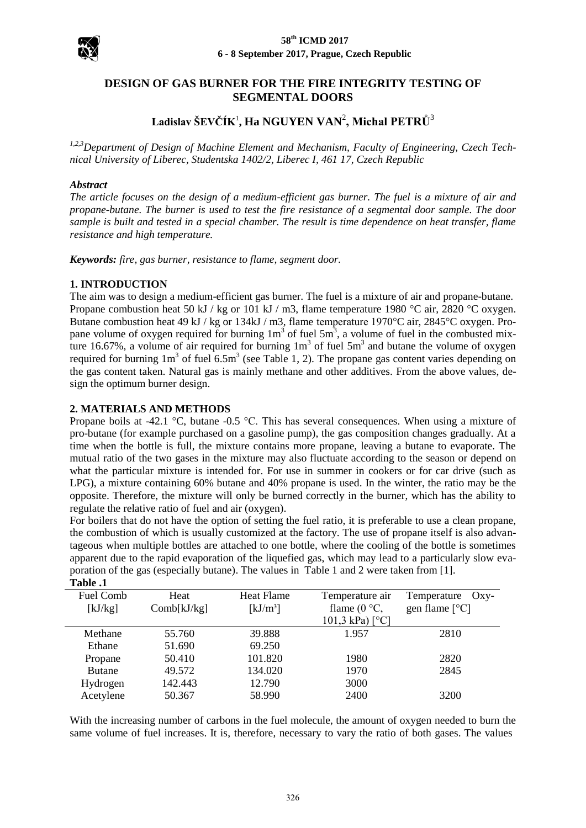

# **DESIGN OF GAS BURNER FOR THE FIRE INTEGRITY TESTING OF SEGMENTAL DOORS**

# **Ladislav ŠEVČÍK**<sup>1</sup> **, Ha NGUYEN VAN**<sup>2</sup> **, Michal PETRŮ**<sup>3</sup>

*1,2,3Department of Design of Machine Element and Mechanism, Faculty of Engineering, Czech Technical University of Liberec, Studentska 1402/2, Liberec I, 461 17, Czech Republic* 

#### *Abstract*

*The article focuses on the design of a medium-efficient gas burner. The fuel is a mixture of air and propane-butane. The burner is used to test the fire resistance of a segmental door sample. The door sample is built and tested in a special chamber. The result is time dependence on heat transfer, flame resistance and high temperature.* 

*Keywords: fire, gas burner, resistance to flame, segment door.* 

### **1. INTRODUCTION**

The aim was to design a medium-efficient gas burner. The fuel is a mixture of air and propane-butane. Propane combustion heat 50 kJ / kg or 101 kJ / m3, flame temperature 1980 °C air, 2820 °C oxygen. Butane combustion heat 49 kJ / kg or 134kJ / m3, flame temperature 1970°C air, 2845°C oxygen. Propane volume of oxygen required for burning  $1m<sup>3</sup>$  of fuel 5m<sup>3</sup>, a volume of fuel in the combusted mixture 16.67%, a volume of air required for burning  $1m<sup>3</sup>$  of fuel  $5m<sup>3</sup>$  and butane the volume of oxygen required for burning  $1m<sup>3</sup>$  of fuel 6.5m<sup>3</sup> (see Table 1, 2). The propane gas content varies depending on the gas content taken. Natural gas is mainly methane and other additives. From the above values, design the optimum burner design.

### **2. MATERIALS AND METHODS**

Propane boils at -42.1 °C, butane -0.5 °C. This has several consequences. When using a mixture of pro-butane (for example purchased on a gasoline pump), the gas composition changes gradually. At a time when the bottle is full, the mixture contains more propane, leaving a butane to evaporate. The mutual ratio of the two gases in the mixture may also fluctuate according to the season or depend on what the particular mixture is intended for. For use in summer in cookers or for car drive (such as LPG), a mixture containing 60% butane and 40% propane is used. In the winter, the ratio may be the opposite. Therefore, the mixture will only be burned correctly in the burner, which has the ability to regulate the relative ratio of fuel and air (oxygen).

For boilers that do not have the option of setting the fuel ratio, it is preferable to use a clean propane, the combustion of which is usually customized at the factory. The use of propane itself is also advantageous when multiple bottles are attached to one bottle, where the cooling of the bottle is sometimes apparent due to the rapid evaporation of the liquefied gas, which may lead to a particularly slow evaporation of the gas (especially butane). The values in Table 1 and 2 were taken from [1].

| Table .1      |             |                                |                          |                         |
|---------------|-------------|--------------------------------|--------------------------|-------------------------|
| Fuel Comb     | Heat        | Heat Flame                     | Temperature air          | Temperature<br>$Oxy-$   |
| [kJ/kg]       | Comb[kJ/kg] | $\left[\mathrm{kJ/m^3}\right]$ | flame $(0 °C)$ ,         | gen flame $[^{\circ}C]$ |
|               |             |                                | 101,3 kPa) $[^{\circ}C]$ |                         |
| Methane       | 55.760      | 39.888                         | 1.957                    | 2810                    |
| Ethane        | 51.690      | 69.250                         |                          |                         |
| Propane       | 50.410      | 101.820                        | 1980                     | 2820                    |
| <b>Butane</b> | 49.572      | 134.020                        | 1970                     | 2845                    |
| Hydrogen      | 142.443     | 12.790                         | 3000                     |                         |
| Acetylene     | 50.367      | 58.990                         | 2400                     | 3200                    |

With the increasing number of carbons in the fuel molecule, the amount of oxygen needed to burn the same volume of fuel increases. It is, therefore, necessary to vary the ratio of both gases. The values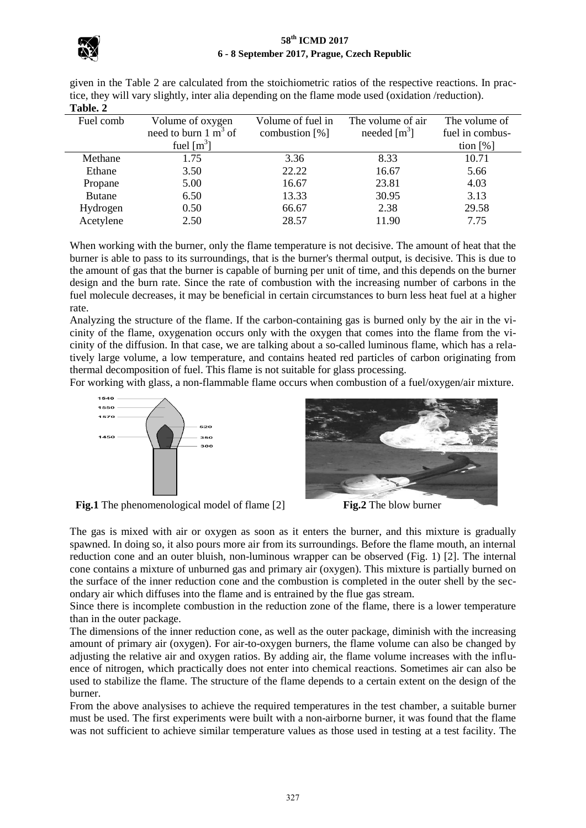## **58th ICMD 2017 6 - 8 September 2017, Prague, Czech Republic**



given in the Table 2 are calculated from the stoichiometric ratios of the respective reactions. In practice, they will vary slightly, inter alia depending on the flame mode used (oxidation /reduction). **Table. 2** 

| .             |                                 |                   |                   |                 |
|---------------|---------------------------------|-------------------|-------------------|-----------------|
| Fuel comb     | Volume of oxygen                | Volume of fuel in | The volume of air | The volume of   |
|               | need to burn $1 \text{ m}^3$ of | combustion $[%]$  | needed $[m^3]$    | fuel in combus- |
|               | fuel $\lceil m^3 \rceil$        |                   |                   | tion $[%]$      |
| Methane       | 1.75                            | 3.36              | 8.33              | 10.71           |
| Ethane        | 3.50                            | 22.22             | 16.67             | 5.66            |
| Propane       | 5.00                            | 16.67             | 23.81             | 4.03            |
| <b>Butane</b> | 6.50                            | 13.33             | 30.95             | 3.13            |
| Hydrogen      | 0.50                            | 66.67             | 2.38              | 29.58           |
| Acetylene     | 2.50                            | 28.57             | 11.90             | 7.75            |
|               |                                 |                   |                   |                 |

When working with the burner, only the flame temperature is not decisive. The amount of heat that the burner is able to pass to its surroundings, that is the burner's thermal output, is decisive. This is due to the amount of gas that the burner is capable of burning per unit of time, and this depends on the burner design and the burn rate. Since the rate of combustion with the increasing number of carbons in the fuel molecule decreases, it may be beneficial in certain circumstances to burn less heat fuel at a higher rate.

Analyzing the structure of the flame. If the carbon-containing gas is burned only by the air in the vicinity of the flame, oxygenation occurs only with the oxygen that comes into the flame from the vicinity of the diffusion. In that case, we are talking about a so-called luminous flame, which has a relatively large volume, a low temperature, and contains heated red particles of carbon originating from thermal decomposition of fuel. This flame is not suitable for glass processing.

For working with glass, a non-flammable flame occurs when combustion of a fuel/oxygen/air mixture.



**Fig.1** The phenomenological model of flame [2] **Fig.2** The blow burner



The gas is mixed with air or oxygen as soon as it enters the burner, and this mixture is gradually spawned. In doing so, it also pours more air from its surroundings. Before the flame mouth, an internal reduction cone and an outer bluish, non-luminous wrapper can be observed (Fig. 1) [2]. The internal cone contains a mixture of unburned gas and primary air (oxygen). This mixture is partially burned on the surface of the inner reduction cone and the combustion is completed in the outer shell by the secondary air which diffuses into the flame and is entrained by the flue gas stream.

Since there is incomplete combustion in the reduction zone of the flame, there is a lower temperature than in the outer package.

The dimensions of the inner reduction cone, as well as the outer package, diminish with the increasing amount of primary air (oxygen). For air-to-oxygen burners, the flame volume can also be changed by adjusting the relative air and oxygen ratios. By adding air, the flame volume increases with the influence of nitrogen, which practically does not enter into chemical reactions. Sometimes air can also be used to stabilize the flame. The structure of the flame depends to a certain extent on the design of the burner.

From the above analysises to achieve the required temperatures in the test chamber, a suitable burner must be used. The first experiments were built with a non-airborne burner, it was found that the flame was not sufficient to achieve similar temperature values as those used in testing at a test facility. The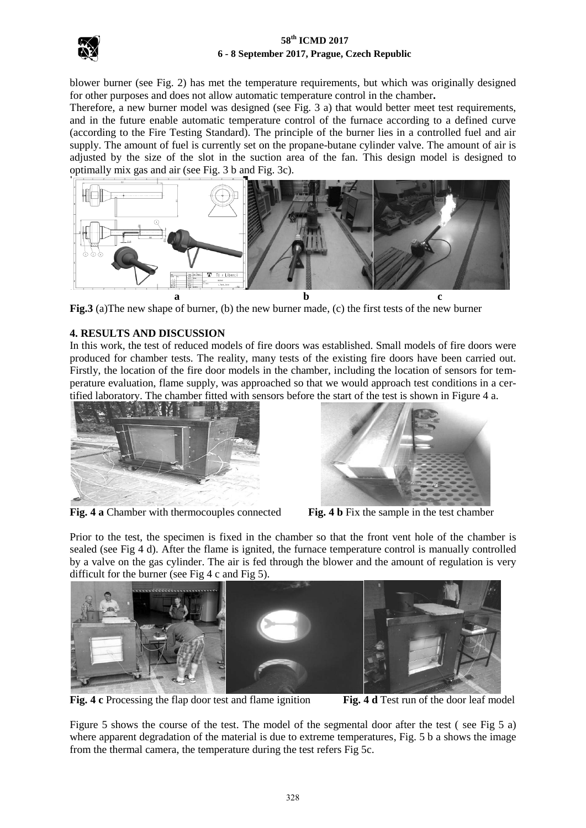

### **58th ICMD 2017 6 - 8 September 2017, Prague, Czech Republic**

blower burner (see Fig. 2) has met the temperature requirements, but which was originally designed for other purposes and does not allow automatic temperature control in the chamber**.**

Therefore, a new burner model was designed (see Fig. 3 a) that would better meet test requirements, and in the future enable automatic temperature control of the furnace according to a defined curve (according to the Fire Testing Standard). The principle of the burner lies in a controlled fuel and air supply. The amount of fuel is currently set on the propane-butane cylinder valve. The amount of air is adjusted by the size of the slot in the suction area of the fan. This design model is designed to optimally mix gas and air (see Fig. 3 b and Fig. 3c).



**Fig.3** (a)The new shape of burner, (b) the new burner made, (c) the first tests of the new burner

# **4. RESULTS AND DISCUSSION**

In this work, the test of reduced models of fire doors was established. Small models of fire doors were produced for chamber tests. The reality, many tests of the existing fire doors have been carried out. Firstly, the location of the fire door models in the chamber, including the location of sensors for temperature evaluation, flame supply, was approached so that we would approach test conditions in a certified laboratory. The chamber fitted with sensors before the start of the test is shown in Figure 4 a.



**Fig. 4 a** Chamber with thermocouples connected **Fig. 4 b** Fix the sample in the test chamber



Prior to the test, the specimen is fixed in the chamber so that the front vent hole of the chamber is sealed (see Fig 4 d). After the flame is ignited, the furnace temperature control is manually controlled by a valve on the gas cylinder. The air is fed through the blower and the amount of regulation is very difficult for the burner (see Fig 4 c and Fig 5).



**Fig. 4 c** Processing the flap door test and flame ignition **Fig. 4 d** Test run of the door leaf model

Figure 5 shows the course of the test. The model of the segmental door after the test ( see Fig 5 a) where apparent degradation of the material is due to extreme temperatures, Fig. 5 b a shows the image from the thermal camera, the temperature during the test refers Fig 5c.